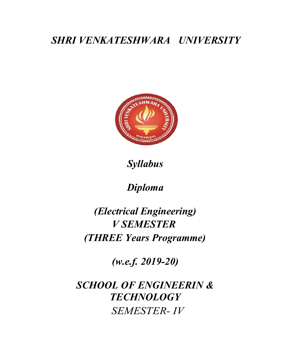## SHRI VENKATESHWARA UNIVERSITY



## Syllabus

## Diploma

# (Electrical Engineering) V SEMESTER (THREE Years Programme)

(w.e.f. 2019-20)

SCHOOL OF ENGINEERIN & **TECHNOLOGY** SEMESTER- IV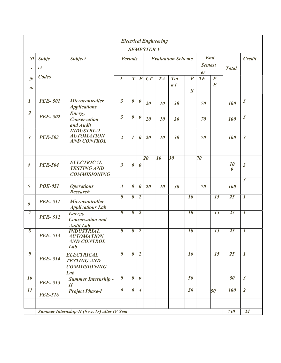|                                             |                    |                                                                       |                                  |                                  |                                               |    | <b>Electrical Engineering</b> |                                   |                                      |              |                                      |                |                         |
|---------------------------------------------|--------------------|-----------------------------------------------------------------------|----------------------------------|----------------------------------|-----------------------------------------------|----|-------------------------------|-----------------------------------|--------------------------------------|--------------|--------------------------------------|----------------|-------------------------|
| SI<br>$\bullet$                             | <b>Subje</b><br>ct | <b>Subject</b>                                                        | <b>Periods</b>                   |                                  | <b>SEMESTER V</b><br><b>Evaluation Scheme</b> |    |                               | <b>End</b><br><b>Semest</b><br>er |                                      | <b>Total</b> | <b>Credit</b>                        |                |                         |
| $\boldsymbol{N}$<br>0.                      | <b>Codes</b>       |                                                                       | L                                | $\boldsymbol{T}$                 | $\boldsymbol{P}$                              | CT | <b>TA</b>                     | <b>Tot</b><br>a <sub>l</sub>      | $\boldsymbol{P}$<br>$\boldsymbol{S}$ | <b>TE</b>    | $\boldsymbol{P}$<br>$\boldsymbol{E}$ |                |                         |
| $\boldsymbol{l}$                            | <b>PEE-501</b>     | <b>Microcontroller</b><br><b>Applications</b>                         | $\boldsymbol{\beta}$             | $\boldsymbol{\theta}$            | $\boldsymbol{\theta}$                         | 20 | 10                            | 30                                |                                      | 70           |                                      | 100            | $\mathfrak{z}$          |
| $\overline{2}$                              | <b>PEE-502</b>     | <b>Energy</b><br><b>Conservation</b><br>and Audit                     | $\mathfrak{z}$                   | $\boldsymbol{\theta}$            | $\boldsymbol{\theta}$                         | 20 | 10                            | 30                                |                                      | 70           |                                      | <b>100</b>     | $\mathfrak{z}$          |
| $\mathfrak{z}$                              | <b>PEE-503</b>     | <b>INDUSTRIAL</b><br><b>AUTOMATION</b><br><b>AND CONTROL</b>          | $\overline{2}$                   | $\boldsymbol{l}$                 | $\boldsymbol{\theta}$                         | 20 | 10                            | 30                                |                                      | 70           |                                      | 100            | $\overline{3}$          |
| $\overline{4}$                              | <b>PEE-504</b>     | <b>ELECTRICAL</b><br><b>TESTING AND</b><br><b>COMMISIONING</b>        | $\mathfrak{z}$                   | $\boldsymbol{\theta}$            | $\boldsymbol{\theta}$                         | 20 | 10                            | 30                                |                                      | 70           |                                      | 10<br>$\theta$ | $\mathfrak{z}$          |
| 5                                           | <b>POE-051</b>     | <b>Operations</b><br><b>Research</b>                                  | $\mathfrak{z}$                   | $\boldsymbol{\theta}$            | $\boldsymbol{\theta}$                         | 20 | 10                            | 30                                |                                      | 70           |                                      | 100            | $\overline{\mathbf{3}}$ |
| 6                                           | <b>PEE-511</b>     | <b>Microcontroller</b><br><b>Applications Lab</b>                     | $\overline{\boldsymbol{\theta}}$ | $\boldsymbol{\theta}$            | $\overline{2}$                                |    |                               |                                   | $\overline{10}$                      |              | 15                                   | 25             | $\boldsymbol{l}$        |
| 7                                           | <b>PEE-512</b>     | <b>Energy</b><br><b>Conservation and</b><br><b>Audit Lab</b>          | $\boldsymbol{\theta}$            | $\boldsymbol{\theta}$            | $\overline{2}$                                |    |                               |                                   | <i>10</i>                            |              | 15                                   | 25             | $\overline{l}$          |
| $\boldsymbol{\delta}$                       | <b>PEE-513</b>     | <b>INDUSTRIAL</b><br><b>AUTOMATION</b><br><b>AND CONTROL</b><br>Lab   | $\boldsymbol{\theta}$            | $\boldsymbol{\theta}$            | $\overline{2}$                                |    |                               |                                   | 10                                   |              | 15                                   | 25             | $\boldsymbol{l}$        |
| 9                                           | <b>PEE-514</b>     | <b>ELECTRICAL</b><br><b>TESTING AND</b><br><b>COMMISIONING</b><br>Lab | $\boldsymbol{\theta}$            | $\boldsymbol{\theta}$            | 2                                             |    |                               |                                   | 10                                   |              | 15                                   | 25             | $\boldsymbol{l}$        |
| <b>10</b>                                   | <b>PEE-515</b>     | <b>Summer Internship -</b><br>$\boldsymbol{\mathit{II}}$              | $\boldsymbol{\theta}$            | $\overline{\boldsymbol{\theta}}$ | $\boldsymbol{\theta}$                         |    |                               |                                   | 50                                   |              |                                      | 50             | $\overline{\mathbf{3}}$ |
| $\overline{11}$                             | <b>PEE-516</b>     | <b>Project Phase-I</b>                                                | $\boldsymbol{\theta}$            | $\boldsymbol{\theta}$            | $\overline{4}$                                |    |                               |                                   | 50                                   |              | 50                                   | <b>100</b>     | $\overline{2}$          |
| Summer Internship-II (6 weeks) after IV Sem |                    |                                                                       |                                  |                                  |                                               |    | 750                           | 24                                |                                      |              |                                      |                |                         |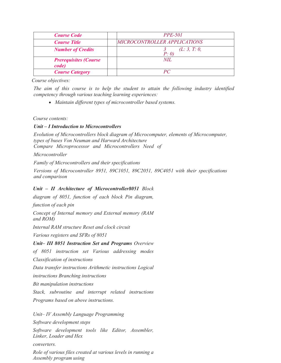| <b>Course Code</b>                     | <i>PPE-501</i>                      |  |  |  |  |
|----------------------------------------|-------------------------------------|--|--|--|--|
| <b>Course Title</b>                    | <b>MICROCONTROLLER APPLICATIONS</b> |  |  |  |  |
| <b>Number of Credits</b>               | (L: 3, T: 0,<br>P: 0                |  |  |  |  |
| <b>Prerequisites (Course)</b><br>code) | NH.                                 |  |  |  |  |
| <b>Course Category</b>                 |                                     |  |  |  |  |

The aim of this course is to help the student to attain the following industry identified competency through various teaching learning experiences:

Maintain different types of microcontroller based systems.

## Course contents:

## Unit – I Introduction to Microcontrollers

Evolution of Microcontrollers block diagram of Microcomputer, elements of Microcomputer, types of buses Von Neuman and Harward Architecture Compare Microprocessor and Microcontrollers Need of

Microcontroller

Family of Microcontrollers and their specifications

Versions of Microcontroller 8951, 89C1051, 89C2051, 89C4051 with their specifications and comparison

## Unit – II Architecture of Microcontroller8051 Block

diagram of 8051, function of each block Pin diagram,

function of each pin

Concept of Internal memory and External memory (RAM and ROM)

Internal RAM structure Reset and clock circuit

Various registers and SFRs of 8051

## Unit– III 8051 Instruction Set and Programs Overview

of 8051 instruction set Various addressing modes

Classification of instructions

Data transfer instructions Arithmetic instructions Logical

instructions Branching instructions

Bit manipulation instructions

Stack, subroutine and interrupt related instructions

Programs based on above instructions.

Unit– IV Assembly Language Programming Software development steps Software development tools like Editor, Assembler, Linker, Loader and Hex converters.

Role of various files created at various levels in running a Assembly program using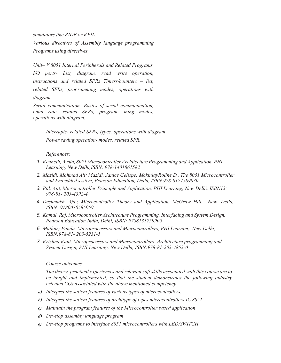simulators like RIDE or KEIL. Various directives of Assembly language programming Programs using directives.

Unit– V 8051 Internal Peripherals and Related Programs I/O ports- List, diagram, read write operation, instructions and related SFRs Timers/counters – list, related SFRs, programming modes, operations with diagram.

Serial communication- Basics of serial communication, baud rate, related SFRs, program- ming modes, operations with diagram.

> Interrupts- related SFRs, types, operations with diagram. Power saving operation- modes, related SFR.

References:

- 1. Kenneth, Ayala, 8051 Microcontroller Architecture Programming and Application, PHI Learning, New Delhi,ISBN: 978-1401861582
- 2. Mazidi, Mohmad Ali; Mazidi, Janice Gelispe; MckinlayRoline D., The 8051 Microcontroller and Embedded system, Pearson Education, Delhi, ISBN 978-8177589030
- 3. Pal, Ajit, Microcontroller Principle and Application, PHI Learning, New Delhi, ISBN13: 978-81- 203-4392-4
- 4. Deshmukh, Ajay, Microcontroller Theory and Application, McGraw Hill., New Delhi, ISBN- 9780070585959
- 5. Kamal, Raj, Microcontroller Architecture Programming, Interfacing and System Design, Pearson Education India, Delhi, ISBN: 9788131759905
- 6. Mathur; Panda, Microprocessors and Microcontrollers, PHI Learning, New Delhi, ISBN:978-81- 203-5231-5
- 7. Krishna Kant, Microprocessors and Microcontrollers: Architecture programming and System Design, PHI Learning, New Delhi, ISBN:978-81-203-4853-0

### Course outcomes:

The theory, practical experiences and relevant soft skills associated with this course are to be taught and implemented, so that the student demonstrates the following industry oriented COs associated with the above mentioned competency:

- a) Interpret the salient features of various types of microcontrollers.
- b) Interpret the salient features of architype of types microcontrollers IC 8051
- c) Maintain the program features of the Microcontroller based application
- d) Develop assembly language program
- e) Develop programs to interface 8051 microcontrollers with LED/SWITCH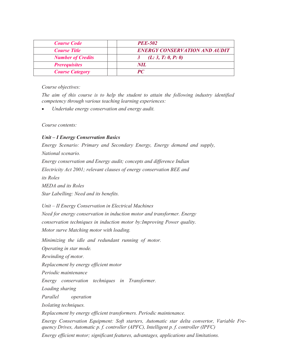| <b>Course Code</b>       | <b>PEE-502</b>                       |
|--------------------------|--------------------------------------|
| <b>Course Title</b>      | <b>ENERGY CONSERVATION AND AUDIT</b> |
| <b>Number of Credits</b> | (L: 3, T: 0, P: 0)                   |
| <b>Prerequisites</b>     | NIL.                                 |
| <b>Course Category</b>   | PC                                   |

The aim of this course is to help the student to attain the following industry identified competency through various teaching learning experiences:

Undertake energy conservation and energy audit.

Course contents:

## Unit – I Energy Conservation Basics

Energy Scenario: Primary and Secondary Energy, Energy demand and supply, National scenario. Energy conservation and Energy audit; concepts and difference Indian Electricity Act 2001; relevant clauses of energy conservation BEE and its Roles MEDA and its Roles Star Labelling: Need and its benefits. Unit – II Energy Conservation in Electrical Machines

Need for energy conservation in induction motor and transformer. Energy conservation techniques in induction motor by:Improving Power quality. Motor surve Matching motor with loading.

Minimizing the idle and redundant running of motor.

Operating in star mode.

Rewinding of motor.

Replacement by energy efficient motor

Periodic maintenance

Energy conservation techniques in Transformer.

Loading sharing

Parallel operation

Isolating techniques.

Replacement by energy efficient transformers. Periodic maintenance.

Energy Conservation Equipment: Soft starters, Automatic star delta convertor, Variable Frequency Drives, Automatic p. f. controller (APFC), Intelligent p. f. controller (IPFC) Energy efficient motor; significant features, advantages, applications and limitations.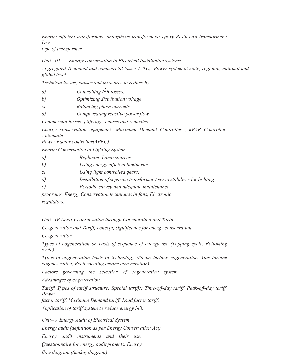Energy efficient transformers, amorphous transformers; epoxy Resin cast transformer / Dry

type of transformer.

Unit–III Energy conservation in Electrical Installation systems

Aggregated Technical and commercial losses (ATC); Power system at state, regional, national and global level.

Technical losses; causes and measures to reduce by.

| a) | Controlling $I^2R$ losses.       |
|----|----------------------------------|
| b) | Optimizing distribution voltage  |
| c) | <b>Balancing phase currents</b>  |
| d) | Compensating reactive power flow |

Commercial losses: pilferage, causes and remedies

Energy conservation equipment: Maximum Demand Controller , kVAR Controller, Automatic

Power Factor controller(APFC)

Energy Conservation in Lighting System

- a) Replacing Lamp sources.
- b) Using energy efficient luminaries.
- c) Using light controlled gears.
- d) Installation of separate transformer / servo stabilizer for lighting.
- e) Periodic survey and adequate maintenance

programs. Energy Conservation techniques in fans, Electronic

regulators.

Unit– IV Energy conservation through Cogeneration and Tariff

Co-generation and Tariff; concept, significance for energy conservation

Co-generation

Types of cogeneration on basis of sequence of energy use (Topping cycle, Bottoming cycle)

Types of cogeneration basis of technology (Steam turbine cogeneration, Gas turbine cogene- ration, Reciprocating engine cogeneration).

Factors governing the selection of cogeneration system.

Advantages of cogeneration.

Tariff: Types of tariff structure: Special tariffs; Time-off-day tariff, Peak-off-day tariff, Power

factor tariff, Maximum Demand tariff, Load factor tariff.

Application of tariff system to reduce energy bill.

Unit– V Energy Audit of Electrical System Energy audit (definition as per Energy Conservation Act) Energy audit instruments and their use. Questionnaire for energy audit projects. Energy flow diagram (Sankey diagram)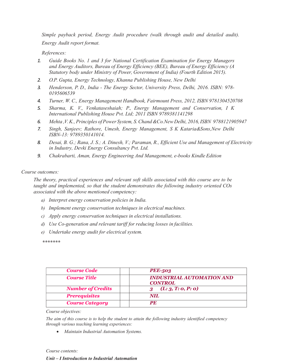Simple payback period, Energy Audit procedure (walk through audit and detailed audit). Energy Audit report format.

References:

- 1. Guide Books No. 1 and 3 for National Certification Examination for Energy Managers and Energy Auditors, Bureau of Energy Efficiency (BEE), Bureau of Energy Efficiency (A Statutory body under Ministry of Power, Government of India) (Fourth Edition 2015).
- 2. O.P. Gupta, Energy Technology, Khanna Publishing House, New Delhi
- 3. Henderson, P. D., India The Energy Sector, University Press, Delhi, 2016. ISBN: 978- 0195606539
- 4. Turner, W. C., Energy Management Handbook, Fairmount Press, 2012, ISBN 9781304520708
- 5. Sharma, K. V., Venkataseshaiah; P., Energy Management and Conservation, I K International Publishing House Pvt. Ltd; 2011 ISBN 9789381141298
- 6. Mehta ,V. K., Principles of Power System, S. Chand &Co.New Delhi, 2016, ISBN 9788121905947
- 7. Singh, Sanjeev; Rathore, Umesh, Energy Management, S K Kataria&Sons,New Delhi ISBN-13: 9789350141014.
- 8. Desai, B. G.; Rana, J. S.; A. Dinesh, V.; Paraman, R., Efficient Use and Management of Electricity in Industry, Devki Energy Consultancy Pvt. Ltd.
- 9. Chakrabarti, Aman, Energy Engineering And Management, e-books Kindle Edition

#### Course outcomes:

The theory, practical experiences and relevant soft skills associated with this course are to be taught and implemented, so that the student demonstrates the following industry oriented COs associated with the above mentioned competency:

- a) Interpret energy conservation policies in India.
- b) Implement energy conservation techniques in electrical machines.
- c) Apply energy conservation techniques in electrical installations.
- d) Use Co-generation and relevant tariff for reducing losses in facilities.
- e) Undertake energy audit for electrical system.

.<br>میله میله میله میله میله میله

| <b>Course Code</b>       | <b>PEE-503</b>                                     |
|--------------------------|----------------------------------------------------|
| <b>Course Title</b>      | <b>INDUSTRIAL AUTOMATION AND</b><br><b>CONTROL</b> |
| <b>Number of Credits</b> | (L: 3, T: 0, P: 0)                                 |
| <b>Prerequisites</b>     | NIL.                                               |
| <b>Course Category</b>   | <b>PE</b>                                          |

#### Course objectives:

The aim of this course is to help the student to attain the following industry identified competency through various teaching learning experiences:

• Maintain Industrial Automation Systems.

Course contents:

Unit – I Introduction to Industrial Automation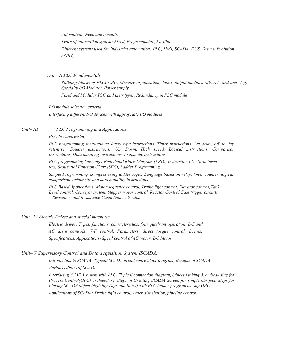Automation: Need and benefits.

Types of automation system: Fixed, Programmable, Flexible Different systems used for Industrial automation: PLC, HMI, SCADA, DCS, Drives. Evolution of PLC.

Unit – II PLC Fundamentals

Building blocks of PLC: CPU, Memory organization, Input- output modules (discrete and ana- log), Specialty I/O Modules, Power supply

Fixed and Modular PLC and their types, Redundancy in PLC module

I/O module selection criteria

Interfacing different I/O devices with appropriate I/O modules

## Unit–III PLC Programming and Applications

PLC I/O addressing

PLC programming Instructions: Relay type instructions, Timer instructions: On delay, off de- lay, retentive, Counter instructions: Up, Down, High speed, Logical instructions, Comparison Instructions, Data handling Instructions, Arithmetic instructions.

PLC programming language: Functional Block Diagram (FBD), Instruction List. Structured text, Sequential Function Chart (SFC), Ladder Programming.

Simple Programming examples using ladder logic: Language based on relay, timer counter, logical, comparison, arithmetic and data handling instructions.

PLC Based Applications: Motor sequence control, Traffic light control, Elevator control, Tank Level control, Conveyor system, Stepper motor control, Reactor Control Gate trigger circuits – Resistance and Resistance-Capacitance circuits.

#### Unit– IV Electric Drives and special machines

Electric drives: Types, functions, characteristics, four quadrant operation. DC and AC drive controls: V/F control, Parameters, direct torque control. Drives: Specifications, Applications- Speed control of AC motor /DC Motor.

### Unit– V Supervisory Control and Data Acquisition System (SCADA)

Introduction to SCADA: Typical SCADA architecture/block diagram, Benefits of SCADA

Various editors of SCADA

Interfacing SCADA system with PLC: Typical connection diagram, Object Linking & embed- ding for Process Control(OPC) architecture, Steps in Creating SCADA Screen for simple ob- ject, Steps for Linking SCADA object (defining Tags and Items) with PLC ladder program us- ing OPC.

Applications of SCADA: Traffic light control, water distribution, pipeline control.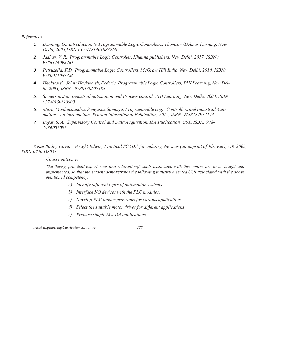References:

- 1. Dunning, G., Introduction to Programmable Logic Controllers, Thomson /Delmar learning, New Delhi, 2005,ISBN 13 : 9781401884260
- 2. Jadhav, V. R., Programmable Logic Controller, Khanna publishers, New Delhi, 2017, ISBN : 9788174092281
- 3. Petruzella, F.D., Programmable Logic Controllers, McGraw Hill India, New Delhi, 2010, ISBN: 9780071067386
- 4. Hackworth, John; Hackworth, Federic, Programmable Logic Controllers, PHI Learning, New Delhi, 2003, ISBN : 9780130607188
- 5. Stenerson Jon, Industrial automation and Process control, PHI Learning, New Delhi, 2003, ISBN : 9780130618900
- 6. Mitra, Madhuchandra; Sengupta, Samarjit, Programmable Logic Controllers and Industrial Automation - An introduction, Penram International Publication, 2015, ISBN: 9788187972174
- 7. Boyar, S. A., Supervisory Control and Data Acquisition, ISA Publication, USA, ISBN: 978- 1936007097

 8.Elec Bailey David ; Wright Edwin, Practical SCADA for industry, Newnes (an imprint of Elsevier), UK 2003, ISBN:0750658053

Course outcomes:

The theory, practical experiences and relevant soft skills associated with this course are to be taught and implemented, so that the student demonstrates the following industry oriented COs associated with the above mentioned competency:

- a) Identify different types of automation systems.
- b) Interface I/O devices with the PLC modules.
- c) Develop PLC ladder programs for various applications.
- d) Select the suitable motor drives for different applications
- e) Prepare simple SCADA applications.

trical Engineering Curriculum Structure 178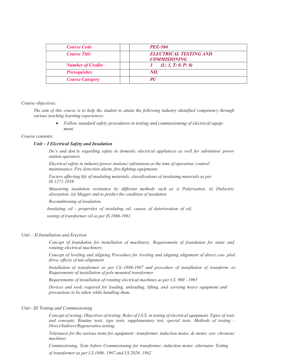| <b>Course Code</b>       | <b>PEE-504</b>                                       |
|--------------------------|------------------------------------------------------|
| <b>Course Title</b>      | <b>ELECTRICAL TESTING AND</b><br><b>COMMISIONING</b> |
| <b>Number of Credits</b> | (L: 3, T: 0, P: 0)                                   |
| <b>Prerequisites</b>     | NIL                                                  |
| <b>Course Category</b>   | PC.                                                  |

The aim of this course is to help the student to attain the following industry identified competency through various teaching learning experiences:

> • Follow standard safety procedures in testing and commissioning of electrical equipment.

#### Course contents:

#### Unit – I Electrical Safety and Insulation

Do's and don'ts regarding safety in domestic electrical appliances as well for substation/ power station operators

Electrical safety in industry/power stations/ substations at the time of operation/ control/ maintenance. Fire detection alarm, fire-fighting equipments

Factors affecting life of insulating materials, classifications of insulating materials as per IS:1271-1958

Measuring insulation resistance by different methods such as i) Polarization, ii) Dielectric absorption, iii) Megger and to predict the condition of insulation

Reconditioning of insulation,

Insulating oil - properties of insulating oil, causes of deterioration of oil, testing of transformer oil as per IS 1866-1961

#### Unit – II Installation and Erection

Concept of foundation for installation of machinery. Requirements of foundation for static and rotating electrical machinery.

Concept of leveling and aligning Procedure for leveling and aligning alignment of direct cou- pled drive, effects of mis-alignment

Installation of transformer as per I.S.-1886-1967 and procedure of installation of transform- er, Requirements of installation of pole mounted transformer

Requirements of installation of rotating electrical machines as per I.S. 900 - 1965

Devices and tools required for loading, unloading, lifting, and carrying heavy equipment and precautions to be taken while handling them.

#### Unit– III Testing and Commissioning

Concept of testing, Objectives of testing. Roles of I.S.S. in testing of electrical equipment, Types of tests and concepts, Routine tests, type tests, supplementary test, special tests, Methods of testing - Direct/Indirect/Regenerative testing.

Tolerances for the various items for equipment –transformer, induction motor, dc motor, syn- chronous machines

Commissioning, Tests before Commissioning for transformer, induction motor, alternator Testing of transformer as per I.S.1886- 1967 and I.S.2026- 1962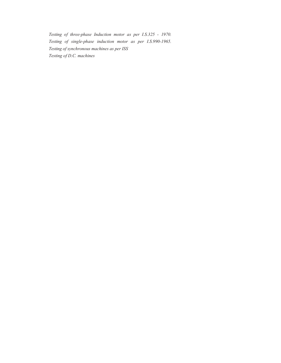Testing of three-phase Induction motor as per I.S.325 - 1970. Testing of single-phase induction motor as per I.S.990-1965. Testing of synchronous machines as per ISS Testing of D.C. machines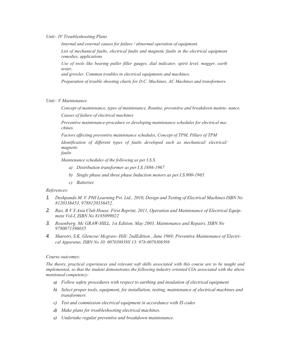#### Unit– IV Troubleshooting Plans

Internal and external causes for failure / abnormal operation of equipment.

List of mechanical faults, electrical faults and magnetic faults in the electrical equipment remedies, applications

Use of tools like bearing puller filler gauges, dial indicator, spirit level, megger, earth tester,

and growler. Common troubles in electrical equipments and machines.

Preparation of trouble shooting charts for D.C. Machines, AC Machines and transformers.

#### Unit– V Maintenance

Concept of maintenance, types of maintenance, Routine, preventive and breakdown mainte- nance. Causes of failure of electrical machines

Preventive maintenance-procedure or developing maintenance schedules for electrical machines.

Factors affecting preventive maintenance schedules, Concept of TPM, Pillars of TPM

Identification of different types of faults developed such as mechanical/ electrical/ magnetic

faults

Maintenance schedules of the following as per I.S.S.

- a) Distribution transformer as per I.S.1886-1967
- b) Single phase and three phase Induction motors as per I.S.900-1965.
- c) Batteries

#### References:

- 1. Deshpande.M. V. PHI Learning Pvt. Ltd., 2010, Design and Testing of Electrical Machines ISBN No 8120336453, 9788120336452.
- 2. Rao, B V S Asia Club House, First Reprint, 2011, Operation and Maintenance of Electrical Equipment Vol-I, ISBN No 8185099022
- 3. Rosenberg. Mc GRAW-HILL, 1st Edition, May 2003, Maintenance and Repairs, ISBN No 9780071396035
- 4. Sharotri, S.K. Glencoe/ Mcgraw- Hill; 2ndEdition , June 1969; Preventive Maintenance of Electrical Apparatus, ISBN No 10: 007030839X 13: 978-0070308398

#### Course outcomes:

The theory, practical experiences and relevant soft skills associated with this course are to be taught and implemented, so that the student demonstrates the following industry oriented COs associated with the above mentioned competency:

- a) Follow safety procedures with respect to earthing and insulation of electrical equipment
- b) Select proper tools, equipment, for installation, testing, maintenance of electrical machines and transformers
- c) Test and commission electrical equipment in accordance with IS codes
- d) Make plans for troubleshooting electrical machines.
- e) Undertake regular preventive and breakdown maintenance.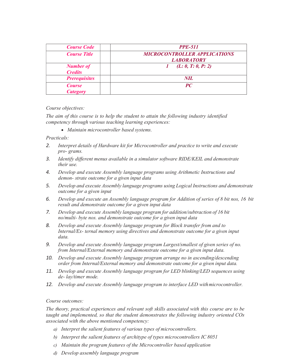| <b>Course Code</b>                 | <b>PPE-511</b>                                           |
|------------------------------------|----------------------------------------------------------|
| <b>Course Title</b>                | <b>MICROCONTROLLER APPLICATIONS</b><br><b>LABORATORY</b> |
| <b>Number of</b><br><b>Credits</b> | (L: 0, T: 0, P: 2)                                       |
| <b>Prerequisites</b>               | <b>NIL</b>                                               |
| <b>Course</b><br><b>Category</b>   | PC                                                       |

The aim of this course is to help the student to attain the following industry identified competency through various teaching learning experiences:

• Maintain microcontroller based systems.

Practicals:

- 2. Interpret details of Hardware kit for Microcontroller and practice to write and execute pro- grams.
- 3. Identify different menus available in a simulator software RIDE/KEIL and demonstrate their use.
- 4. Develop and execute Assembly language programs using Arithmetic Instructions and demon- strate outcome for a given input data
- 5. Develop and execute Assembly language programs using Logical Instructions and demonstrate outcome for a given input
- 6. Develop and execute an Assembly language program for Addition of series of 8 bit nos, 16 bit result and demonstrate outcome for a given input data
- 7. Develop and execute Assembly language program for addition/subtraction of 16 bit no/multi- byte nos. and demonstrate outcome for a given input data
- 8. Develop and execute Assembly language program for Block transfer from and to Internal/Ex- ternal memory using directives and demonstrate outcome for a given input data.
- 9. Develop and execute Assembly language program Largest/smallest of given series of no. from Internal/External memory and demonstrate outcome for a given input data.
- 10. Develop and execute Assembly language program arrange no in ascending/descending order from Internal/External memory and demonstrate outcome for a given input data.
- 11. Develop and execute Assembly language program for LED blinking/LED sequences using de- lay/timer mode.
- 12. Develop and execute Assembly language program to interface LED with microcontroller.

### Course outcomes:

The theory, practical experiences and relevant soft skills associated with this course are to be taught and implemented, so that the student demonstrates the following industry oriented COs associated with the above mentioned competency:

- a) Interpret the salient features of various types of microcontrollers.
- b) Interpret the salient features of architype of types microcontrollers IC 8051
- c) Maintain the program features of the Microcontroller based application
- d) Develop assembly language program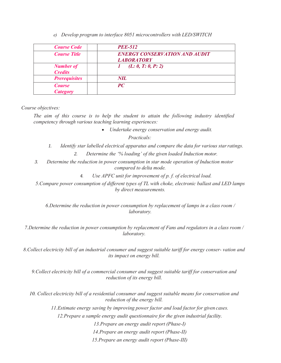e) Develop program to interface 8051 microcontrollers with LED/SWITCH

| <b>Course Code</b>                 | <b>PEE-512</b>                                            |
|------------------------------------|-----------------------------------------------------------|
| <b>Course Title</b>                | <b>ENERGY CONSERVATION AND AUDIT</b><br><b>LABORATORY</b> |
| <b>Number of</b><br><b>Credits</b> | (L: 0, T: 0, P: 2)                                        |
| <b>Prerequisites</b>               | NIL.                                                      |
| <b>Course</b><br><b>Category</b>   | PC                                                        |

Course objectives:

The aim of this course is to help the student to attain the following industry identified competency through various teaching learning experiences:

• Undertake energy conservation and energy audit.

Practicals:

- 1. Identify star labelled electrical apparatus and compare the data for various star ratings.
	- 2. Determine the '% loading' of the given loaded Induction motor.
- 3. Determine the reduction in power consumption in star mode operation of Induction motor compared to delta mode.

4. Use APFC unit for improvement of p. f. of electrical load.

5.Compare power consumption of different types of TL with choke, electronic ballast and LED lamps by direct measurements.

6.Determine the reduction in power consumption by replacement of lamps in a class room / laboratory.

7.Determine the reduction in power consumption by replacement of Fans and regulators in a class room / laboratory.

8.Collect electricity bill of an industrial consumer and suggest suitable tariff for energy conser- vation and its impact on energy bill.

9.Collect electricity bill of a commercial consumer and suggest suitable tariff for conservation and reduction of its energy bill.

10. Collect electricity bill of a residential consumer and suggest suitable means for conservation and reduction of the energy bill.

11.Estimate energy saving by improving power factor and load factor for given cases.

12.Prepare a sample energy audit questionnaire for the given industrial facility.

13.Prepare an energy audit report (Phase-I)

14.Prepare an energy audit report (Phase-II)

15.Prepare an energy audit report (Phase-III)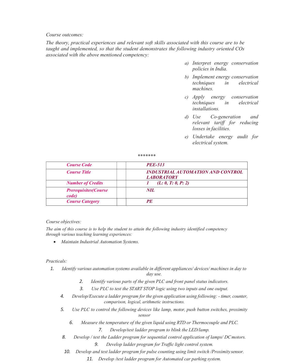Course outcomes:

The theory, practical experiences and relevant soft skills associated with this course are to be taught and implemented, so that the student demonstrates the following industry oriented COs associated with the above mentioned competency:

- a) Interpret energy conservation policies in India.
- b) Implement energy conservation techniques in electrical machines.
- c) Apply energy conservation techniques in electrical installations.
- d) Use Co-generation and relevant tariff for reducing losses in facilities.
- e) Undertake energy audit for electrical system.

\*\*\*\*\*\*\*

| <b>Course Code</b>                   | <b>PEE-513</b>                                                |  |  |
|--------------------------------------|---------------------------------------------------------------|--|--|
| <b>Course Title</b>                  | <b>INDUSTRIAL AUTOMATION AND CONTROL</b><br><b>LABORATORY</b> |  |  |
| <b>Number of Credits</b>             | (L: 0, T: 0, P: 2)                                            |  |  |
| <b>Prerequisites(Course</b><br>code) | NIL.                                                          |  |  |
| <b>Course Category</b>               | <b>PF</b>                                                     |  |  |

Course objectives:

The aim of this course is to help the student to attain the following industry identified competency through various teaching learning experiences:

Maintain Industrial Automation Systems.

#### Practicals:

- 1. Identify various automation systems available in different appliances/ devices/ machines in day to day use.
	- 2. Identify various parts of the given PLC and front panel status indicators.
	- 3. Use PLC to test the START STOP logic using two inputs and one output.
	- 4. Develop/Execute a ladder program for the given application using following: timer, counter, comparison, logical, arithmetic instructions.
	- 5. Use PLC to control the following devices like lamp, motor, push button switches, proximity sensor
		- 6. Measure the temperature of the given liquid using RTD or Thermocouple and PLC.
			- 7. Develop/test ladder program to blink the LED/lamp.
	- 8. Develop / test the Ladder program for sequential control application of lamps/ DC motors.
		- 9. Develop ladder program for Traffic light control system.
	- 10. Develop and test ladder program for pulse counting using limit switch /Proximity sensor.
		- 11. Develop /test ladder program for Automated car parking system.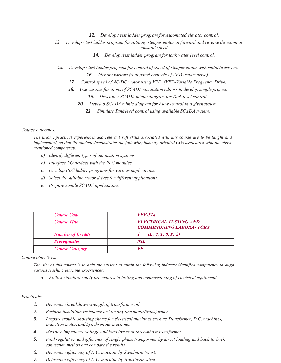12. Develop / test ladder program for Automated elevator control.

13. Develop / test ladder program for rotating stepper motor in forward and reverse direction at constant speed.

14. Develop /test ladder program for tank water level control.

- 15. Develop / test ladder program for control of speed of stepper motor with suitable drivers. 16. Identify various front panel controls of VFD (smart drive).
	- 17. Control speed of AC/DC motor using VFD. (VFD-Variable Frequency Drive)
	- 18. Use various functions of SCADA simulation editors to develop simple project.
		- 19. Develop a SCADA mimic diagram for Tank level control.
		- 20. Develop SCADA mimic diagram for Flow control in a given system.
			- 21. Simulate Tank level control using available SCADA system.

#### Course outcomes:

The theory, practical experiences and relevant soft skills associated with this course are to be taught and implemented, so that the student demonstrates the following industry oriented COs associated with the above mentioned competency:

- a) Identify different types of automation systems.
- b) Interface I/O devices with the PLC modules.
- c) Develop PLC ladder programs for various applications.
- d) Select the suitable motor drives for different applications.
- e) Prepare simple SCADA applications.

| <b>Course Code</b>       | <b>PEE-514</b>                                                   |  |  |
|--------------------------|------------------------------------------------------------------|--|--|
| <b>Course Title</b>      | <b>ELECTRICAL TESTING AND</b><br><b>COMMISIONING LABORA-TORY</b> |  |  |
| <b>Number of Credits</b> | (L: 0, T: 0, P: 2)                                               |  |  |
| <b>Prerequisites</b>     | NIL                                                              |  |  |
| <b>Course Category</b>   | PE                                                               |  |  |

Course objectives:

The aim of this course is to help the student to attain the following industry identified competency through various teaching learning experiences:

Follow standard safety procedures in testing and commissioning of electrical equipment.

#### Practicals:

- 1. Determine breakdown strength of transformer oil.
- 2. Perform insulation resistance test on any one motor/transformer.
- 3. Prepare trouble shooting charts for electrical machines such as Transformer, D.C. machines, Induction motor, and Synchronous machines
- 4. Measure impedance voltage and load losses of three-phase transformer.
- 5. Find regulation and efficiency of single-phase transformer by direct loading and back-to-back connection method and compare the results.
- 6. Determine efficiency of D.C. machine by Swinburne's test.
- 7. Determine efficiency of D.C. machine by Hopkinson's test.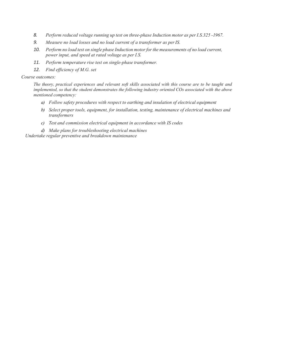- 8. Perform reduced voltage running up test on three-phase Induction motor as per I.S.325 -1967.
- 9. Measure no load losses and no load current of a transformer as per IS.
- 10. Perform no load test on single phase Induction motor for the measurements of no load current, power input, and speed at rated voltage as per I.S.
- 11. Perform temperature rise test on single-phase transformer.
- 12. Find efficiency of M.G. set

#### Course outcomes:

The theory, practical experiences and relevant soft skills associated with this course are to be taught and implemented, so that the student demonstrates the following industry oriented COs associated with the above mentioned competency:

- a) Follow safety procedures with respect to earthing and insulation of electrical equipment
- b) Select proper tools, equipment, for installation, testing, maintenance of electrical machines and transformers
- c) Test and commission electrical equipment in accordance with IS codes
- d) Make plans for troubleshooting electrical machines

Undertake regular preventive and breakdown maintenance